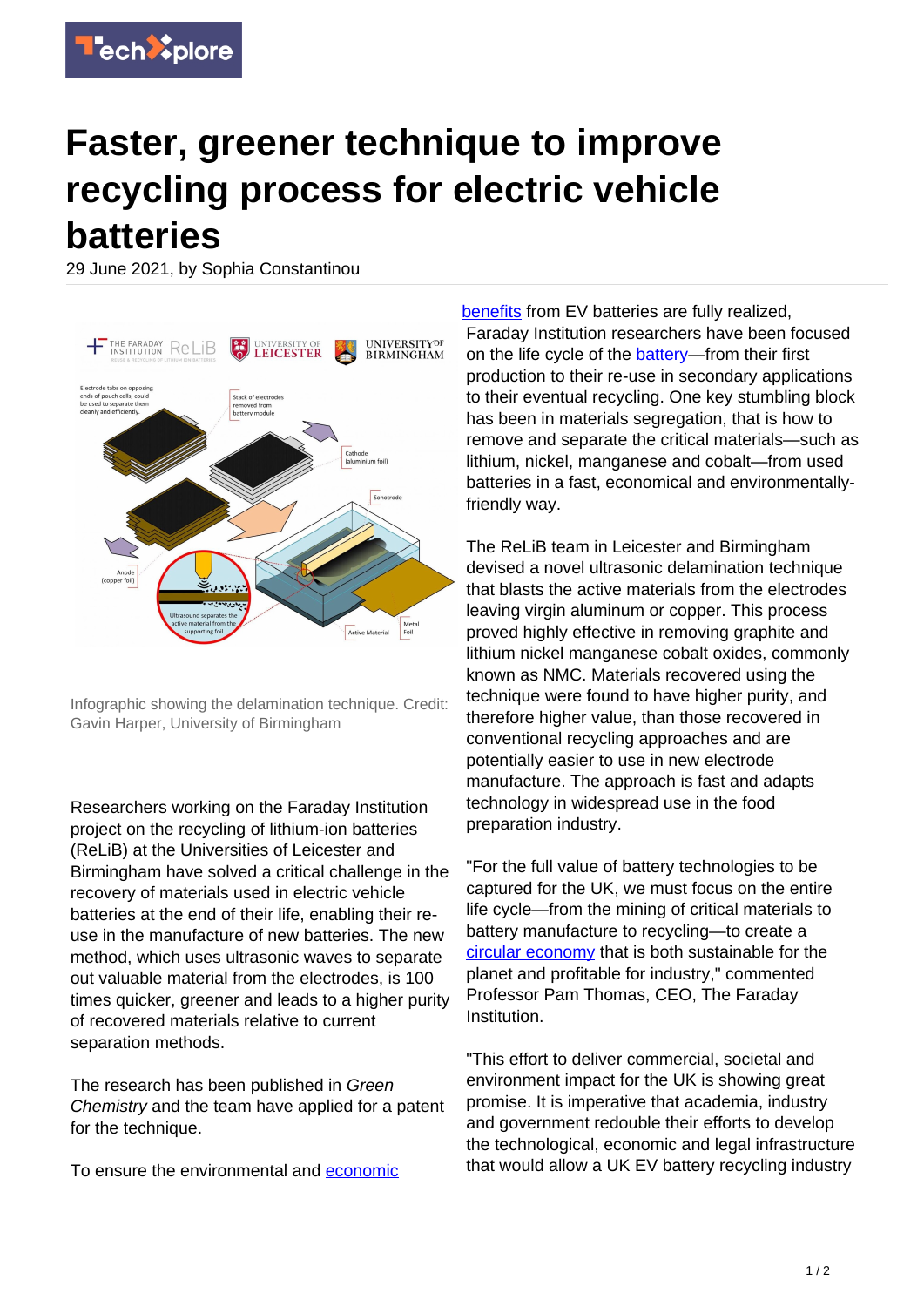## **Faster, greener technique to improve recycling process for electric vehicle batteries**

29 June 2021, by Sophia Constantinou



Infographic showing the delamination technique. Credit: Gavin Harper, University of Birmingham

Researchers working on the Faraday Institution project on the recycling of lithium-ion batteries (ReLiB) at the Universities of Leicester and Birmingham have solved a critical challenge in the recovery of materials used in electric vehicle batteries at the end of their life, enabling their reuse in the manufacture of new batteries. The new method, which uses ultrasonic waves to separate out valuable material from the electrodes, is 100 times quicker, greener and leads to a higher purity of recovered materials relative to current separation methods.

The research has been published in Green Chemistry and the team have applied for a patent for the technique.

To ensure the environmental and [economic](https://techxplore.com/tags/economic+benefits/)

[benefits](https://techxplore.com/tags/economic+benefits/) from EV batteries are fully realized, Faraday Institution researchers have been focused on the life cycle of the **[battery—](https://techxplore.com/tags/battery/)from** their first production to their re-use in secondary applications to their eventual recycling. One key stumbling block has been in materials segregation, that is how to remove and separate the critical materials—such as lithium, nickel, manganese and cobalt—from used batteries in a fast, economical and environmentallyfriendly way.

The ReLiB team in Leicester and Birmingham devised a novel ultrasonic delamination technique that blasts the active materials from the electrodes leaving virgin aluminum or copper. This process proved highly effective in removing graphite and lithium nickel manganese cobalt oxides, commonly known as NMC. Materials recovered using the technique were found to have higher purity, and therefore higher value, than those recovered in conventional recycling approaches and are potentially easier to use in new electrode manufacture. The approach is fast and adapts technology in widespread use in the food preparation industry.

"For the full value of battery technologies to be captured for the UK, we must focus on the entire life cycle—from the mining of critical materials to battery manufacture to recycling—to create a [circular economy](https://techxplore.com/tags/circular+economy/) that is both sustainable for the planet and profitable for industry," commented Professor Pam Thomas, CEO, The Faraday Institution.

"This effort to deliver commercial, societal and environment impact for the UK is showing great promise. It is imperative that academia, industry and government redouble their efforts to develop the technological, economic and legal infrastructure that would allow a UK EV battery recycling industry